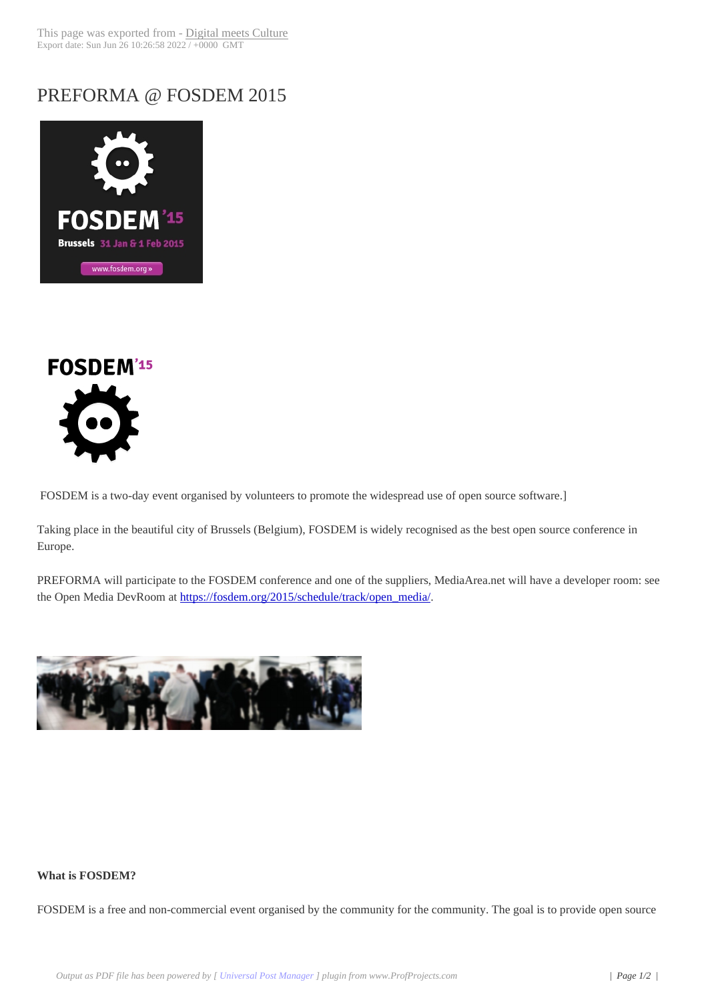## PREFORMA @ F[OSDEM 2015](http://www.digitalmeetsculture.net/?p=30961)





FOSDEM is a two-day event organised by volunteers to promote the widespread use of open source software.]

Taking place in the beautiful city of Brussels (Belgium), FOSDEM is widely recognised as the best open source conference in Europe.

PREFORMA will participate to the FOSDEM conference and one of the suppliers, MediaArea.net will have a developer room: see the Open Media DevRoom at https://fosdem.org/2015/schedule/track/open\_media/.



## **What is FOSDEM?**

FOSDEM is a free and non-commercial event organised by the community for the community. The goal is to provide open source